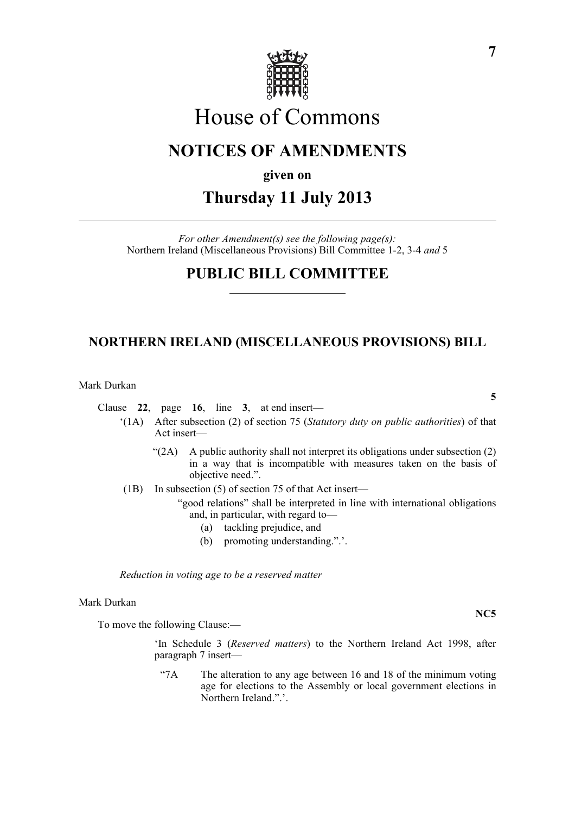

# House of Commons

## **NOTICES OF AMENDMENTS**

### **given on**

# **Thursday 11 July 2013**

*For other Amendment(s) see the following page(s):* Northern Ireland (Miscellaneous Provisions) Bill Committee 1-2, 3-4 *and* 5

### **PUBLIC BILL COMMITTEE**

### **NORTHERN IRELAND (MISCELLANEOUS PROVISIONS) BILL**

#### Mark Durkan

Clause **22**, page **16**, line **3**, at end insert—

- '(1A) After subsection (2) of section 75 (*Statutory duty on public authorities*) of that Act insert—
	- " $(2A)$  A public authority shall not interpret its obligations under subsection  $(2)$ in a way that is incompatible with measures taken on the basis of objective need.".
- (1B) In subsection (5) of section 75 of that Act insert—
	- "good relations" shall be interpreted in line with international obligations and, in particular, with regard to—
		- (a) tackling prejudice, and
		- (b) promoting understanding.".'.

*Reduction in voting age to be a reserved matter*

#### Mark Durkan

To move the following Clause:—

'In Schedule 3 (*Reserved matters*) to the Northern Ireland Act 1998, after paragraph 7 insert—

"7A The alteration to any age between 16 and 18 of the minimum voting age for elections to the Assembly or local government elections in Northern Ireland.".'.

**7**

**NC5**

**5**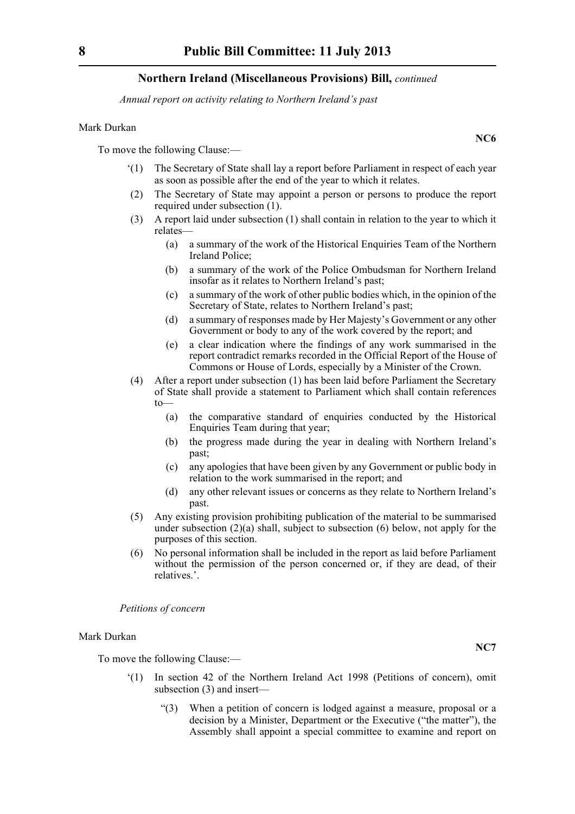#### **Northern Ireland (Miscellaneous Provisions) Bill,** *continued*

*Annual report on activity relating to Northern Ireland's past*

#### Mark Durkan

To move the following Clause:—

- '(1) The Secretary of State shall lay a report before Parliament in respect of each year as soon as possible after the end of the year to which it relates.
- (2) The Secretary of State may appoint a person or persons to produce the report required under subsection (1).
- (3) A report laid under subsection (1) shall contain in relation to the year to which it relates—
	- (a) a summary of the work of the Historical Enquiries Team of the Northern Ireland Police;
	- (b) a summary of the work of the Police Ombudsman for Northern Ireland insofar as it relates to Northern Ireland's past;
	- (c) a summary of the work of other public bodies which, in the opinion of the Secretary of State, relates to Northern Ireland's past;
	- (d) a summary of responses made by Her Majesty's Government or any other Government or body to any of the work covered by the report; and
	- (e) a clear indication where the findings of any work summarised in the report contradict remarks recorded in the Official Report of the House of Commons or House of Lords, especially by a Minister of the Crown.
- (4) After a report under subsection (1) has been laid before Parliament the Secretary of State shall provide a statement to Parliament which shall contain references to—
	- (a) the comparative standard of enquiries conducted by the Historical Enquiries Team during that year;
	- (b) the progress made during the year in dealing with Northern Ireland's past;
	- (c) any apologies that have been given by any Government or public body in relation to the work summarised in the report; and
	- (d) any other relevant issues or concerns as they relate to Northern Ireland's past.
- (5) Any existing provision prohibiting publication of the material to be summarised under subsection (2)(a) shall, subject to subsection (6) below, not apply for the purposes of this section.
- (6) No personal information shall be included in the report as laid before Parliament without the permission of the person concerned or, if they are dead, of their relatives.'.

*Petitions of concern*

#### Mark Durkan

To move the following Clause:—

- '(1) In section 42 of the Northern Ireland Act 1998 (Petitions of concern), omit subsection (3) and insert—
	- "(3) When a petition of concern is lodged against a measure, proposal or a decision by a Minister, Department or the Executive ("the matter"), the Assembly shall appoint a special committee to examine and report on

**NC6**

**NC7**